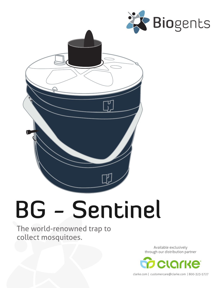



# BG - Sentinel

The world-renowned trap to collect mosquitoes.

> Available exclusively through our distribution partner



clarke.com | customercare@clarke.com | 800-323-5727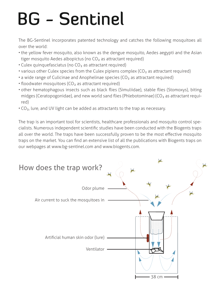# **BG - Sentinel**

The BG-Sentinel incorporates patented technology and catches the following mosquitoes all over the world:

- the yellow fever mosquito, also known as the dengue mosquito, Aedes aegypti and the Asian tiger mosquito Aedes albopictus (no  $CO<sub>2</sub>$  as attractant required)
- $\cdot$  Culex quinquefasciatus (no CO<sub>2</sub> as attractant required)
- various other Culex species from the Culex pipiens complex  $(CO<sub>2</sub>$  as attractant required)
- a wide range of Culicinae and Anophelinae species ( $CO<sub>2</sub>$  as attractant required)
- floodwater mosquitoes  $(CO<sub>2</sub>$  as attractant required)
- other hematophagous insects such as black flies (Simuliidae), stable flies (Stomoxys), biting midges (Ceratopogonidae), and new world sand flies (Phlebotominae) ( $CO<sub>2</sub>$  as attractant required)
- CO2, lure, and UV light can be added as attractants to the trap as necessary.

The trap is an important tool for scientists, healthcare professionals and mosquito control specialists. Numerous independent scientific studies have been conducted with the Biogents traps all over the world. The traps have been successfully proven to be the most effective mosquito traps on the market. You can find an extensive list of all the publications with Biogents traps on our webpages at www.bg-sentinel.com and www.biogents.com.

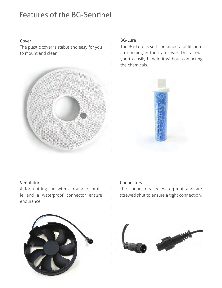## Features of the BG-Sentinel

#### Cover

The plastic cover is stable and easy for you to mount and clean.



#### BG-Lure

The BG-Lure is self contained and fits into an opening in the trap cover. This allows you to easily handle it without contacting the chemicals.



#### Ventilator

A form-fitting fan with a rounded profile and a waterproof connector ensure endurance.

#### **Connectors**

The connectors are waterproof and are screwed shut to ensure a tight connection.